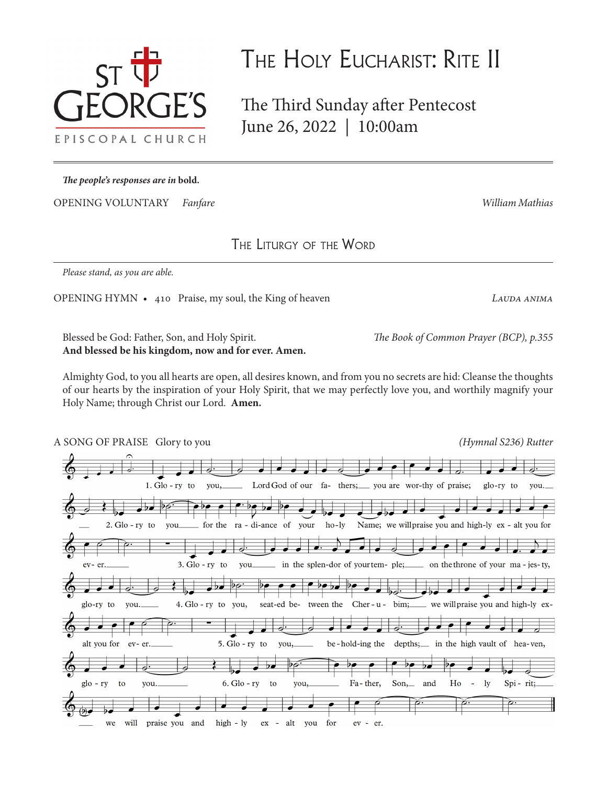

# The Holy Eucharist: Rite II

The Third Sunday after Pentecost June 26, 2022 | 10:00am

### *The people's responses are in* **bold.**

OPENING VOLUNTARY *Fanfare William Mathias*

## The Liturgy of the Word

*Please stand, as you are able.*

OPENING HYMN • 410 Praise, my soul, the King of heaven *Lauda anima*

Blessed be God: Father, Son, and Holy Spirit. *The Book of Common Prayer (BCP), p.355*  **And blessed be his kingdom, now and for ever. Amen.**

Almighty God, to you all hearts are open, all desires known, and from you no secrets are hid: Cleanse the thoughts of our hearts by the inspiration of your Holy Spirit, that we may perfectly love you, and worthily magnify your Holy Name; through Christ our Lord. **Amen.**

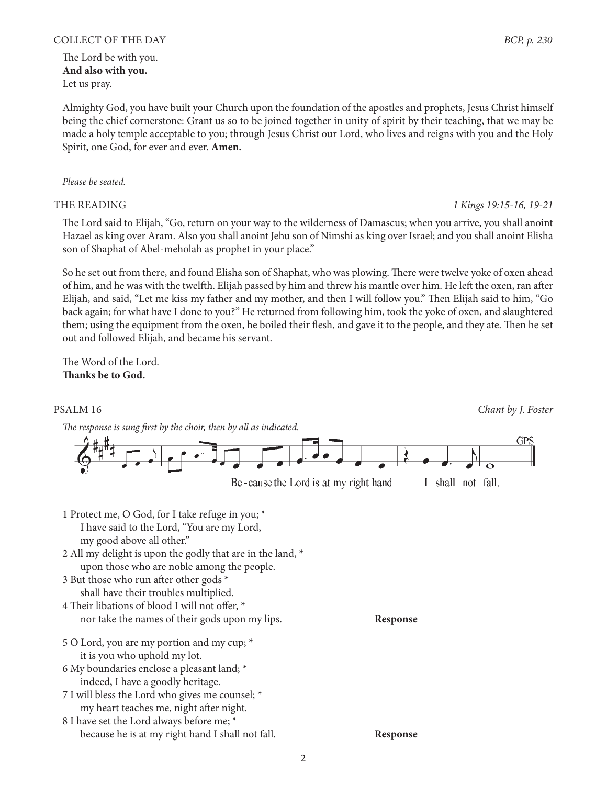## COLLECT OF THE DAY *BCP, p. 230*

The Lord be with you. **And also with you.** Let us pray.

Almighty God, you have built your Church upon the foundation of the apostles and prophets, Jesus Christ himself being the chief cornerstone: Grant us so to be joined together in unity of spirit by their teaching, that we may be made a holy temple acceptable to you; through Jesus Christ our Lord, who lives and reigns with you and the Holy Spirit, one God, for ever and ever. **Amen.**

## *Please be seated.*

The Lord said to Elijah, "Go, return on your way to the wilderness of Damascus; when you arrive, you shall anoint Hazael as king over Aram. Also you shall anoint Jehu son of Nimshi as king over Israel; and you shall anoint Elisha son of Shaphat of Abel-meholah as prophet in your place."

So he set out from there, and found Elisha son of Shaphat, who was plowing. There were twelve yoke of oxen ahead of him, and he was with the twelfth. Elijah passed by him and threw his mantle over him. He left the oxen, ran after Elijah, and said, "Let me kiss my father and my mother, and then I will follow you." Then Elijah said to him, "Go back again; for what have I done to you?" He returned from following him, took the yoke of oxen, and slaughtered them; using the equipment from the oxen, he boiled their flesh, and gave it to the people, and they ate. Then he set out and followed Elijah, and became his servant.

The Word of the Lord. **Thanks be to God.**

## PSALM 16 *Chant by J. Foster The response is sung first by the choir, then by all as indicated.* Be-cause the Lord is at my right hand I shall not fall. 1 Protect me, O God, for I take refuge in you; \* I have said to the Lord, "You are my Lord, my good above all other." 2 All my delight is upon the godly that are in the land, \* upon those who are noble among the people. 3 But those who run after other gods \* shall have their troubles multiplied. 4 Their libations of blood I will not offer, \* nor take the names of their gods upon my lips. **Response** 5 O Lord, you are my portion and my cup; \* it is you who uphold my lot. 6 My boundaries enclose a pleasant land; \* indeed, I have a goodly heritage. 7 I will bless the Lord who gives me counsel; \* my heart teaches me, night after night. 8 I have set the Lord always before me; \* because he is at my right hand I shall not fall. **Response**

## THE READING *1 Kings 19:15-16, 19-21*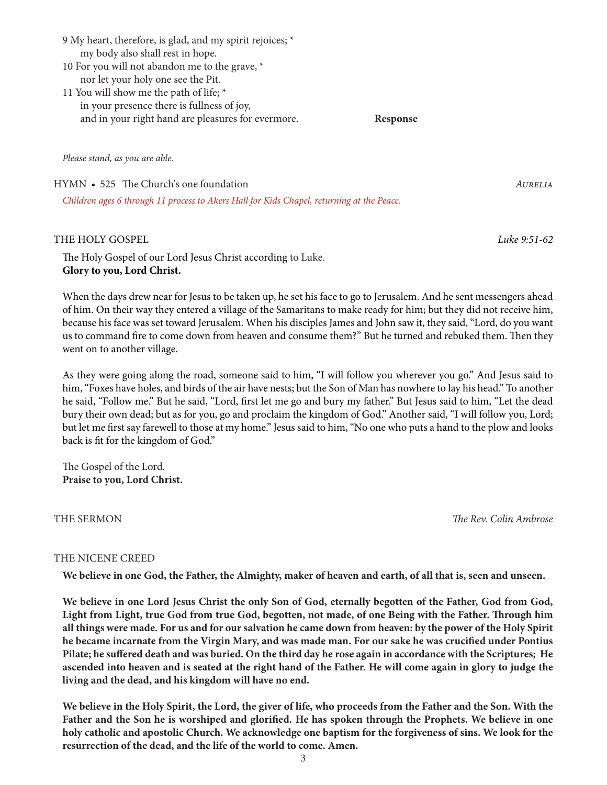9 My heart, therefore, is glad, and my spirit rejoices; \* my body also shall rest in hope. 10 For you will not abandon me to the grave, \* nor let your holy one see the Pit. 11 You will show me the path of life; \* in your presence there is fullness of joy, and in your right hand are pleasures for evermore. **Response**

*Please stand, as you are able.*

HYMN • 525 The Church's one foundation *Aurelia*

*Children ages 6 through 11 process to Akers Hall for Kids Chapel, returning at the Peace.* 

## THE HOLY GOSPEL *Luke 9:51-62*

The Holy Gospel of our Lord Jesus Christ according to Luke. **Glory to you, Lord Christ.**

When the days drew near for Jesus to be taken up, he set his face to go to Jerusalem. And he sent messengers ahead of him. On their way they entered a village of the Samaritans to make ready for him; but they did not receive him, because his face was set toward Jerusalem. When his disciples James and John saw it, they said, "Lord, do you want us to command fire to come down from heaven and consume them?" But he turned and rebuked them. Then they went on to another village.

As they were going along the road, someone said to him, "I will follow you wherever you go." And Jesus said to him, "Foxes have holes, and birds of the air have nests; but the Son of Man has nowhere to lay his head." To another he said, "Follow me." But he said, "Lord, first let me go and bury my father." But Jesus said to him, "Let the dead bury their own dead; but as for you, go and proclaim the kingdom of God." Another said, "I will follow you, Lord; but let me first say farewell to those at my home." Jesus said to him, "No one who puts a hand to the plow and looks back is fit for the kingdom of God."

The Gospel of the Lord. **Praise to you, Lord Christ.**

## THE NICENE CREED

**We believe in one God, the Father, the Almighty, maker of heaven and earth, of all that is, seen and unseen.**

**We believe in one Lord Jesus Christ the only Son of God, eternally begotten of the Father, God from God, Light from Light, true God from true God, begotten, not made, of one Being with the Father. Through him all things were made. For us and for our salvation he came down from heaven: by the power of the Holy Spirit he became incarnate from the Virgin Mary, and was made man. For our sake he was crucified under Pontius Pilate; he suffered death and was buried. On the third day he rose again in accordance with the Scriptures; He ascended into heaven and is seated at the right hand of the Father. He will come again in glory to judge the living and the dead, and his kingdom will have no end.**

**We believe in the Holy Spirit, the Lord, the giver of life, who proceeds from the Father and the Son. With the Father and the Son he is worshiped and glorified. He has spoken through the Prophets. We believe in one holy catholic and apostolic Church. We acknowledge one baptism for the forgiveness of sins. We look for the resurrection of the dead, and the life of the world to come. Amen.**

3

THE SERMON *The Rev. Colin Ambrose*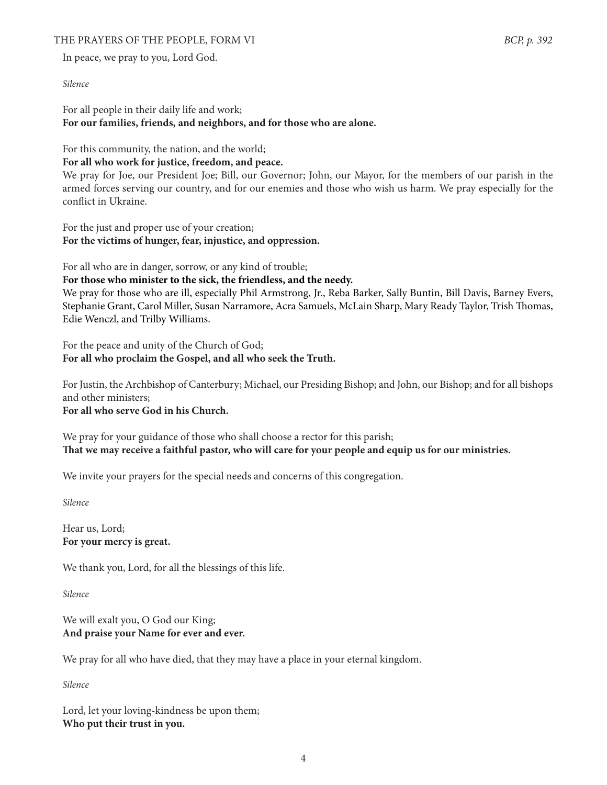## THE PRAYERS OF THE PEOPLE, FORM VI *BCP, p. 392*

In peace, we pray to you, Lord God.

## *Silence*

For all people in their daily life and work; **For our families, friends, and neighbors, and for those who are alone.**

For this community, the nation, and the world;

## **For all who work for justice, freedom, and peace.**

We pray for Joe, our President Joe; Bill, our Governor; John, our Mayor, for the members of our parish in the armed forces serving our country, and for our enemies and those who wish us harm. We pray especially for the conflict in Ukraine.

For the just and proper use of your creation; **For the victims of hunger, fear, injustice, and oppression.**

For all who are in danger, sorrow, or any kind of trouble;

## **For those who minister to the sick, the friendless, and the needy.**

We pray for those who are ill, especially Phil Armstrong, Jr., Reba Barker, Sally Buntin, Bill Davis, Barney Evers, Stephanie Grant, Carol Miller, Susan Narramore, Acra Samuels, McLain Sharp, Mary Ready Taylor, Trish Thomas, Edie Wenczl, and Trilby Williams.

For the peace and unity of the Church of God; **For all who proclaim the Gospel, and all who seek the Truth.**

For Justin, the Archbishop of Canterbury; Michael, our Presiding Bishop; and John, our Bishop; and for all bishops and other ministers;

## **For all who serve God in his Church.**

We pray for your guidance of those who shall choose a rector for this parish; **That we may receive a faithful pastor, who will care for your people and equip us for our ministries.**

We invite your prayers for the special needs and concerns of this congregation.

*Silence*

Hear us, Lord; **For your mercy is great.**

We thank you, Lord, for all the blessings of this life.

*Silence*

We will exalt you, O God our King; **And praise your Name for ever and ever.**

We pray for all who have died, that they may have a place in your eternal kingdom.

*Silence*

Lord, let your loving-kindness be upon them; **Who put their trust in you.**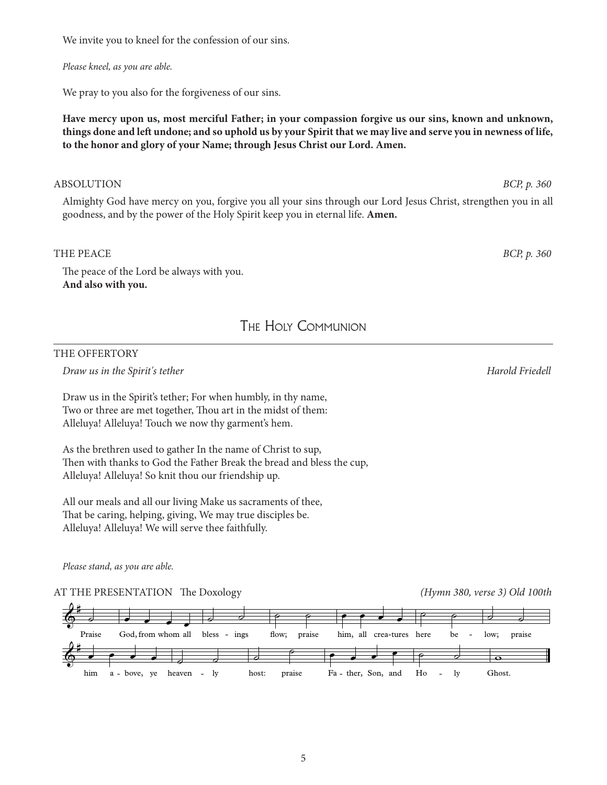him a - bove, ye heaven - ly host: praise Fa - ther, Son, and Ho - ly Ghost.

We invite you to kneel for the confession of our sins.

*Please kneel, as you are able.*

We pray to you also for the forgiveness of our sins.

## **Have mercy upon us, most merciful Father; in your compassion forgive us our sins, known and unknown, things done and left undone; and so uphold us by your Spirit that we may live and serve you in newness of life, to the honor and glory of your Name; through Jesus Christ our Lord. Amen.**

## ABSOLUTION *BCP, p. 360*

Almighty God have mercy on you, forgive you all your sins through our Lord Jesus Christ, strengthen you in all goodness, and by the power of the Holy Spirit keep you in eternal life. **Amen.**

## THE PEACE *BCP, p. 360*

The peace of the Lord be always with you. **And also with you.**

## The Holy Communion

## THE OFFERTORY

*Draw us in the Spirit's tether*  $\blacksquare$ 

Draw us in the Spirit's tether; For when humbly, in thy name, Two or three are met together, Thou art in the midst of them: Alleluya! Alleluya! Touch we now thy garment's hem.

As the brethren used to gather In the name of Christ to sup, Then with thanks to God the Father Break the bread and bless the cup, Alleluya! Alleluya! So knit thou our friendship up.

All our meals and all our living Make us sacraments of thee, That be caring, helping, giving, We may true disciples be. Alleluya! Alleluya! We will serve thee faithfully.



 $\delta^*$ 

 $\delta^*$ 

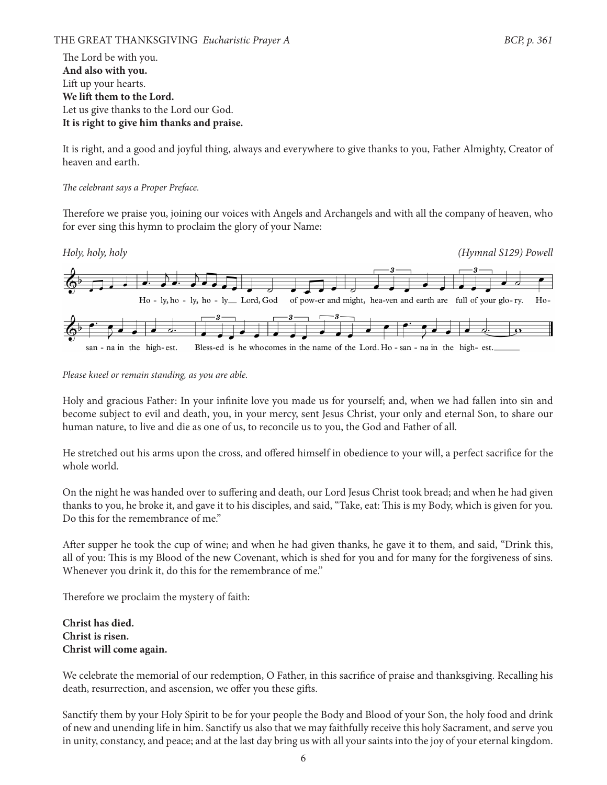The Lord be with you. **And also with you.** Lift up your hearts. **We lift them to the Lord.** Let us give thanks to the Lord our God. **It is right to give him thanks and praise.**

It is right, and a good and joyful thing, always and everywhere to give thanks to you, Father Almighty, Creator of heaven and earth.

## *The celebrant says a Proper Preface.*

Therefore we praise you, joining our voices with Angels and Archangels and with all the company of heaven, who for ever sing this hymn to proclaim the glory of your Name:



*Please kneel or remain standing, as you are able.*

Holy and gracious Father: In your infinite love you made us for yourself; and, when we had fallen into sin and become subject to evil and death, you, in your mercy, sent Jesus Christ, your only and eternal Son, to share our human nature, to live and die as one of us, to reconcile us to you, the God and Father of all.

He stretched out his arms upon the cross, and offered himself in obedience to your will, a perfect sacrifice for the whole world.

On the night he was handed over to suffering and death, our Lord Jesus Christ took bread; and when he had given thanks to you, he broke it, and gave it to his disciples, and said, "Take, eat: This is my Body, which is given for you. Do this for the remembrance of me."

After supper he took the cup of wine; and when he had given thanks, he gave it to them, and said, "Drink this, all of you: This is my Blood of the new Covenant, which is shed for you and for many for the forgiveness of sins. Whenever you drink it, do this for the remembrance of me."

Therefore we proclaim the mystery of faith:

## **Christ has died. Christ is risen. Christ will come again.**

We celebrate the memorial of our redemption, O Father, in this sacrifice of praise and thanksgiving. Recalling his death, resurrection, and ascension, we offer you these gifts.

Sanctify them by your Holy Spirit to be for your people the Body and Blood of your Son, the holy food and drink of new and unending life in him. Sanctify us also that we may faithfully receive this holy Sacrament, and serve you in unity, constancy, and peace; and at the last day bring us with all your saints into the joy of your eternal kingdom.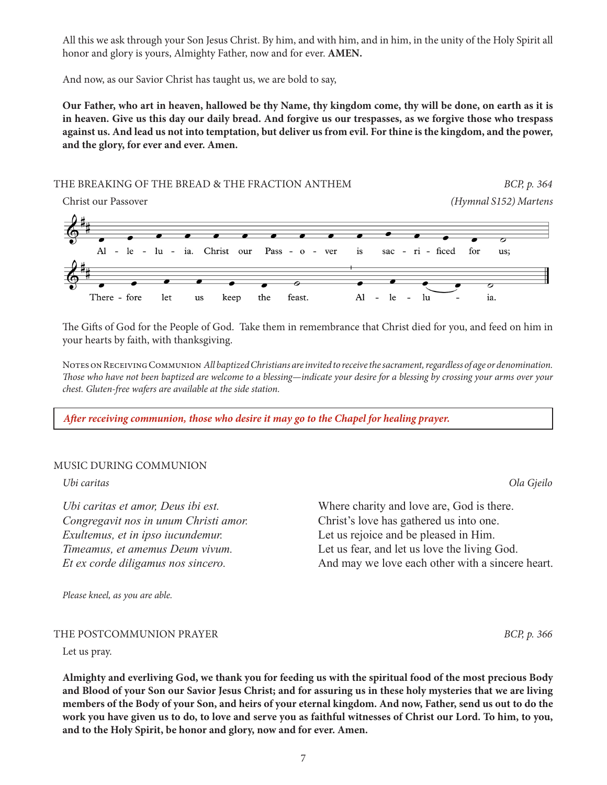All this we ask through your Son Jesus Christ. By him, and with him, and in him, in the unity of the Holy Spirit all honor and glory is yours, Almighty Father, now and for ever. **AMEN.**

And now, as our Savior Christ has taught us, we are bold to say,

**Our Father, who art in heaven, hallowed be thy Name, thy kingdom come, thy will be done, on earth as it is in heaven. Give us this day our daily bread. And forgive us our trespasses, as we forgive those who trespass against us. And lead us not into temptation, but deliver us from evil. For thine is the kingdom, and the power, and the glory, for ever and ever. Amen.**

## THE BREAKING OF THE BREAD & THE FRACTION ANTHEM *BCP, p. 364*

Christ our Passover *(Hymnal S152) Martens*



The Gifts of God for the People of God. Take them in remembrance that Christ died for you, and feed on him in your hearts by faith, with thanksgiving.

Notes on Receiving Communion *All baptized Christians are invited to receive the sacrament, regardless of age or denomination. Those who have not been baptized are welcome to a blessing—indicate your desire for a blessing by crossing your arms over your chest. Gluten-free wafers are available at the side station.* 

*After receiving communion, those who desire it may go to the Chapel for healing prayer.*

## MUSIC DURING COMMUNION

*Ubi caritas Ola Gjeilo*

*Ubi caritas et amor, Deus ibi est. Congregavit nos in unum Christi amor. Exultemus, et in ipso iucundemur. Timeamus, et amemus Deum vivum. Et ex corde diligamus nos sincero.*

Where charity and love are, God is there. Christ's love has gathered us into one. Let us rejoice and be pleased in Him. Let us fear, and let us love the living God. And may we love each other with a sincere heart.

*Please kneel, as you are able.*

## THE POSTCOMMUNION PRAYER *BCP, p. 366*

Let us pray.

**Almighty and everliving God, we thank you for feeding us with the spiritual food of the most precious Body and Blood of your Son our Savior Jesus Christ; and for assuring us in these holy mysteries that we are living members of the Body of your Son, and heirs of your eternal kingdom. And now, Father, send us out to do the work you have given us to do, to love and serve you as faithful witnesses of Christ our Lord. To him, to you, and to the Holy Spirit, be honor and glory, now and for ever. Amen.**

7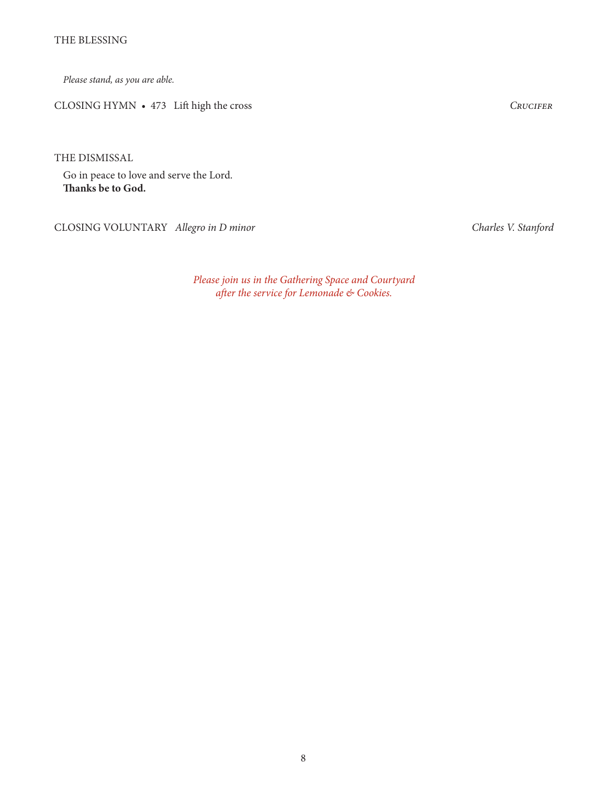## THE BLESSING

*Please stand, as you are able.*

CLOSING HYMN • 473 Lift high the cross *Crucifer*

THE DISMISSAL

Go in peace to love and serve the Lord. **Thanks be to God.** 

CLOSING VOLUNTARY *Allegro in D minor Charles V. Stanford*

*Please join us in the Gathering Space and Courtyard after the service for Lemonade & Cookies.*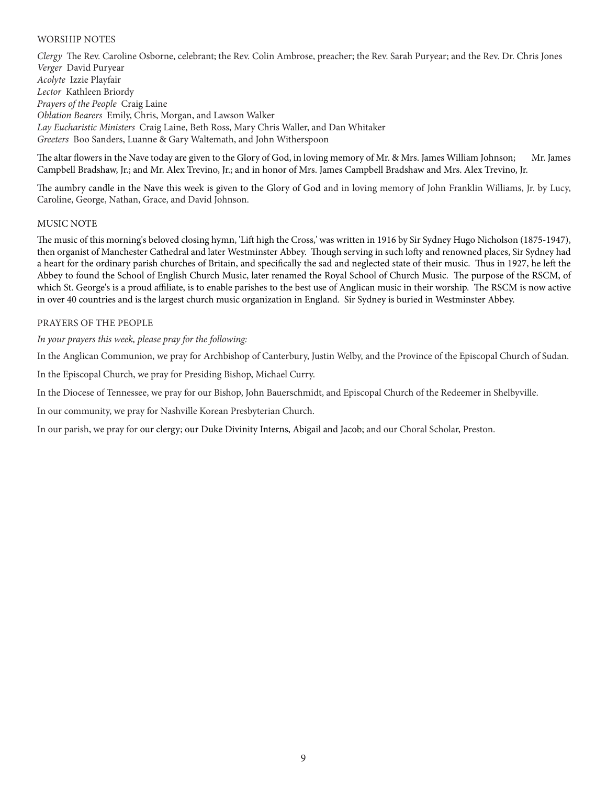## WORSHIP NOTES

*Clergy* The Rev. Caroline Osborne, celebrant; the Rev. Colin Ambrose, preacher; the Rev. Sarah Puryear; and the Rev. Dr. Chris Jones *Verger* David Puryear *Acolyte* Izzie Playfair *Lector* Kathleen Briordy *Prayers of the People* Craig Laine *Oblation Bearers* Emily, Chris, Morgan, and Lawson Walker *Lay Eucharistic Ministers* Craig Laine, Beth Ross, Mary Chris Waller, and Dan Whitaker *Greeters* Boo Sanders, Luanne & Gary Waltemath, and John Witherspoon

The altar flowers in the Nave today are given to the Glory of God, in loving memory of Mr. & Mrs. James William Johnson; Mr. James Campbell Bradshaw, Jr.; and Mr. Alex Trevino, Jr.; and in honor of Mrs. James Campbell Bradshaw and Mrs. Alex Trevino, Jr.

The aumbry candle in the Nave this week is given to the Glory of God and in loving memory of John Franklin Williams, Jr. by Lucy, Caroline, George, Nathan, Grace, and David Johnson.

## MUSIC NOTE

The music of this morning's beloved closing hymn, 'Lift high the Cross,' was written in 1916 by Sir Sydney Hugo Nicholson (1875-1947), then organist of Manchester Cathedral and later Westminster Abbey. Though serving in such lofty and renowned places, Sir Sydney had a heart for the ordinary parish churches of Britain, and specifically the sad and neglected state of their music. Thus in 1927, he left the Abbey to found the School of English Church Music, later renamed the Royal School of Church Music. The purpose of the RSCM, of which St. George's is a proud affiliate, is to enable parishes to the best use of Anglican music in their worship. The RSCM is now active in over 40 countries and is the largest church music organization in England. Sir Sydney is buried in Westminster Abbey.

## PRAYERS OF THE PEOPLE

*In your prayers this week, please pray for the following:*

In the Anglican Communion, we pray for Archbishop of Canterbury, Justin Welby, and the Province of the Episcopal Church of Sudan.

In the Episcopal Church, we pray for Presiding Bishop, Michael Curry.

In the Diocese of Tennessee, we pray for our Bishop, John Bauerschmidt, and Episcopal Church of the Redeemer in Shelbyville.

In our community, we pray for Nashville Korean Presbyterian Church.

In our parish, we pray for our clergy; our Duke Divinity Interns, Abigail and Jacob; and our Choral Scholar, Preston.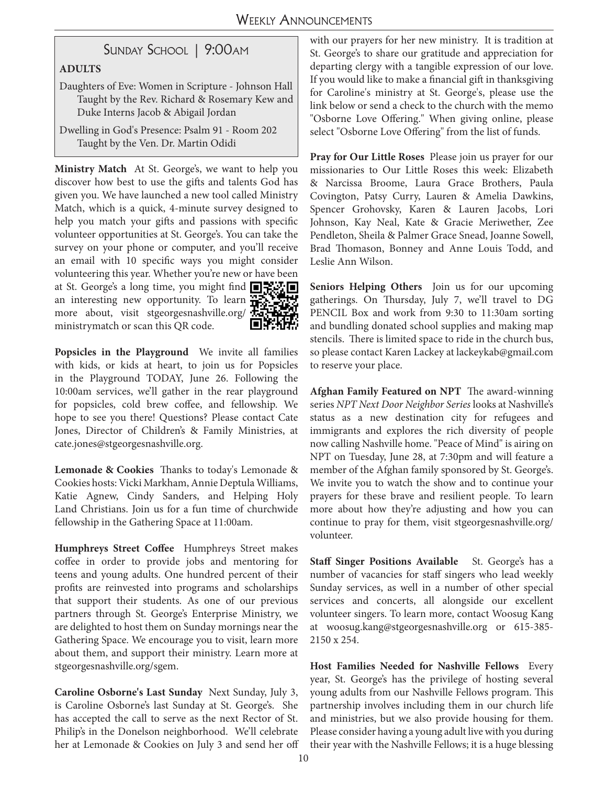## Sunday School | 9:00am

## **ADULTS**

Daughters of Eve: Women in Scripture - Johnson Hall Taught by the Rev. Richard & Rosemary Kew and Duke Interns Jacob & Abigail Jordan

Dwelling in God's Presence: Psalm 91 - Room 202 Taught by the Ven. Dr. Martin Odidi

**Ministry Match** At St. George's, we want to help you discover how best to use the gifts and talents God has given you. We have launched a new tool called Ministry Match, which is a quick, 4-minute survey designed to help you match your gifts and passions with specific volunteer opportunities at St. George's. You can take the survey on your phone or computer, and you'll receive an email with 10 specific ways you might consider volunteering this year. Whether you're new or have been at St. George's a long time, you might find an interesting new opportunity. To learn more about, visit stgeorgesnashville.org/ ministrymatch or scan this QR code.

**Popsicles in the Playground** We invite all families with kids, or kids at heart, to join us for Popsicles in the Playground TODAY, June 26. Following the 10:00am services, we'll gather in the rear playground for popsicles, cold brew coffee, and fellowship. We hope to see you there! Questions? Please contact Cate Jones, Director of Children's & Family Ministries, at cate.jones@stgeorgesnashville.org.

**Lemonade & Cookies** Thanks to today's Lemonade & Cookies hosts: Vicki Markham, Annie Deptula Williams, Katie Agnew, Cindy Sanders, and Helping Holy Land Christians. Join us for a fun time of churchwide fellowship in the Gathering Space at 11:00am.

**Humphreys Street Coffee** Humphreys Street makes coffee in order to provide jobs and mentoring for teens and young adults. One hundred percent of their profits are reinvested into programs and scholarships that support their students. As one of our previous partners through St. George's Enterprise Ministry, we are delighted to host them on Sunday mornings near the Gathering Space. We encourage you to visit, learn more about them, and support their ministry. Learn more at stgeorgesnashville.org/sgem.

**Caroline Osborne's Last Sunday** Next Sunday, July 3, is Caroline Osborne's last Sunday at St. George's. She has accepted the call to serve as the next Rector of St. Philip's in the Donelson neighborhood. We'll celebrate her at Lemonade & Cookies on July 3 and send her off with our prayers for her new ministry. It is tradition at St. George's to share our gratitude and appreciation for departing clergy with a tangible expression of our love. If you would like to make a financial gift in thanksgiving for Caroline's ministry at St. George's, please use the link below or send a check to the church with the memo "Osborne Love Offering." When giving online, please select "Osborne Love Offering" from the list of funds.

**Pray for Our Little Roses** Please join us prayer for our missionaries to Our Little Roses this week: Elizabeth & Narcissa Broome, Laura Grace Brothers, Paula Covington, Patsy Curry, Lauren & Amelia Dawkins, Spencer Grohovsky, Karen & Lauren Jacobs, Lori Johnson, Kay Neal, Kate & Gracie Meriwether, Zee Pendleton, Sheila & Palmer Grace Snead, Joanne Sowell, Brad Thomason, Bonney and Anne Louis Todd, and Leslie Ann Wilson.

**Seniors Helping Others** Join us for our upcoming gatherings. On Thursday, July 7, we'll travel to DG PENCIL Box and work from 9:30 to 11:30am sorting and bundling donated school supplies and making map stencils. There is limited space to ride in the church bus, so please contact Karen Lackey at lackeykab@gmail.com to reserve your place.

**Afghan Family Featured on NPT** The award-winning series *NPT Next Door Neighbor Series* looks at Nashville's status as a new destination city for refugees and immigrants and explores the rich diversity of people now calling Nashville home. "Peace of Mind" is airing on NPT on Tuesday, June 28, at 7:30pm and will feature a member of the Afghan family sponsored by St. George's. We invite you to watch the show and to continue your prayers for these brave and resilient people. To learn more about how they're adjusting and how you can continue to pray for them, visit stgeorgesnashville.org/ volunteer.

**Staff Singer Positions Available** St. George's has a number of vacancies for staff singers who lead weekly Sunday services, as well in a number of other special services and concerts, all alongside our excellent volunteer singers. To learn more, contact Woosug Kang at woosug.kang@stgeorgesnashville.org or 615-385- 2150 x 254.

**Host Families Needed for Nashville Fellows** Every year, St. George's has the privilege of hosting several young adults from our Nashville Fellows program. This partnership involves including them in our church life and ministries, but we also provide housing for them. Please consider having a young adult live with you during their year with the Nashville Fellows; it is a huge blessing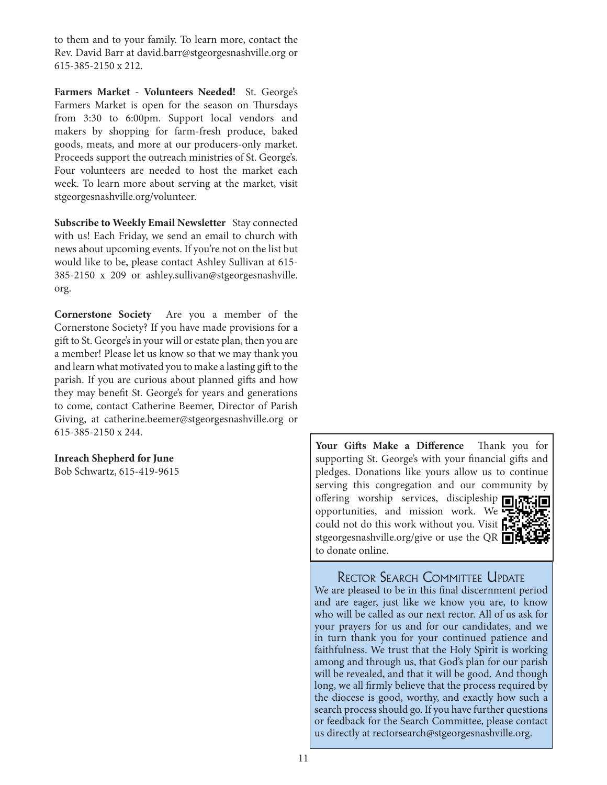to them and to your family. To learn more, contact the Rev. David Barr at david.barr@stgeorgesnashville.org or 615-385-2150 x 212.

**Farmers Market - Volunteers Needed!** St. George's Farmers Market is open for the season on Thursdays from 3:30 to 6:00pm. Support local vendors and makers by shopping for farm-fresh produce, baked goods, meats, and more at our producers-only market. Proceeds support the outreach ministries of St. George's. Four volunteers are needed to host the market each week. To learn more about serving at the market, visit stgeorgesnashville.org/volunteer.

**Subscribe to Weekly Email Newsletter** Stay connected with us! Each Friday, we send an email to church with news about upcoming events. If you're not on the list but would like to be, please contact Ashley Sullivan at 615- 385-2150 x 209 or ashley.sullivan@stgeorgesnashville. org.

**Cornerstone Society** Are you a member of the Cornerstone Society? If you have made provisions for a gift to St. George's in your will or estate plan, then you are a member! Please let us know so that we may thank you and learn what motivated you to make a lasting gift to the parish. If you are curious about planned gifts and how they may benefit St. George's for years and generations to come, contact Catherine Beemer, Director of Parish Giving, at catherine.beemer@stgeorgesnashville.org or 615-385-2150 x 244.

**Inreach Shepherd for June** 

Bob Schwartz, 615-419-9615

**Your Gifts Make a Difference** Thank you for supporting St. George's with your financial gifts and pledges. Donations like yours allow us to continue serving this congregation and our community by offering worship services, discipleship opportunities, and mission work. We could not do this work without you. Visit stgeorgesnashville.org/give or use the QR  $\Box$ to donate online.

## Rector Search Committee Update

We are pleased to be in this final discernment period and are eager, just like we know you are, to know who will be called as our next rector. All of us ask for your prayers for us and for our candidates, and we in turn thank you for your continued patience and faithfulness. We trust that the Holy Spirit is working among and through us, that God's plan for our parish will be revealed, and that it will be good. And though long, we all firmly believe that the process required by the diocese is good, worthy, and exactly how such a search process should go. If you have further questions or feedback for the Search Committee, please contact us directly at rectorsearch@stgeorgesnashville.org.